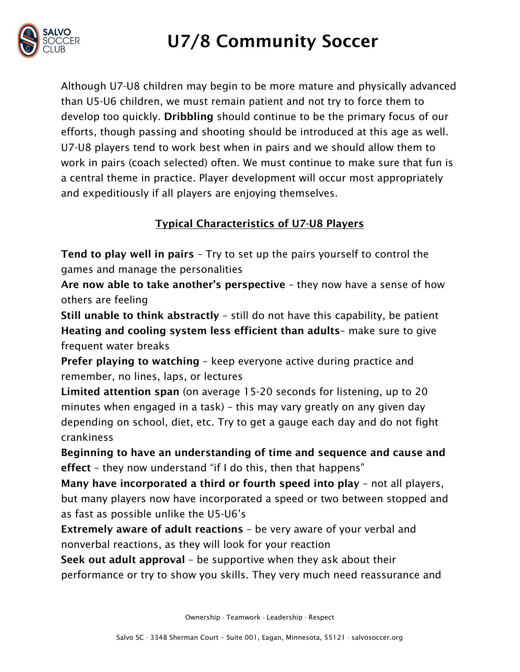

## U7/8 Community Soccer

Although U7-U8 children may begin to be more mature and physically advanced than U5-U6 children, we must remain patient and not try to force them to develop too quickly. Dribbling should continue to be the primary focus of our efforts, though passing and shooting should be introduced at this age as well. U7-U8 players tend to work best when in pairs and we should allow them to work in pairs (coach selected) often. We must continue to make sure that fun is a central theme in practice. Player development will occur most appropriately and expeditiously if all players are enjoying themselves.

### Typical Characteristics of U7-U8 Players

Tend to play well in pairs – Try to set up the pairs yourself to control the games and manage the personalities

Are now able to take another's perspective – they now have a sense of how others are feeling

Still unable to think abstractly – still do not have this capability, be patient Heating and cooling system less efficient than adults– make sure to give frequent water breaks

Prefer playing to watching – keep everyone active during practice and remember, no lines, laps, or lectures

Limited attention span (on average 15-20 seconds for listening, up to 20 minutes when engaged in a task) – this may vary greatly on any given day depending on school, diet, etc. Try to get a gauge each day and do not fight crankiness

Beginning to have an understanding of time and sequence and cause and effect – they now understand "if I do this, then that happens"

Many have incorporated a third or fourth speed into play – not all players, but many players now have incorporated a speed or two between stopped and as fast as possible unlike the U5-U6's

Extremely aware of adult reactions – be very aware of your verbal and nonverbal reactions, as they will look for your reaction

Seek out adult approval – be supportive when they ask about their performance or try to show you skills. They very much need reassurance and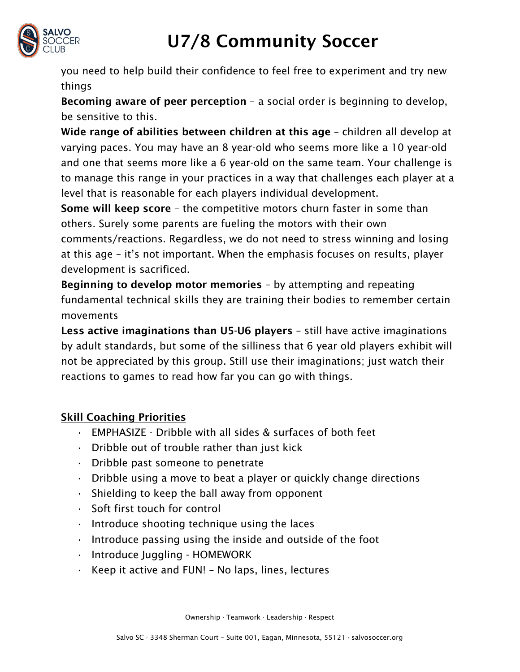

# U7/8 Community Soccer

you need to help build their confidence to feel free to experiment and try new things

Becoming aware of peer perception – a social order is beginning to develop, be sensitive to this.

Wide range of abilities between children at this age - children all develop at varying paces. You may have an 8 year-old who seems more like a 10 year-old and one that seems more like a 6 year-old on the same team. Your challenge is to manage this range in your practices in a way that challenges each player at a level that is reasonable for each players individual development.

Some will keep score – the competitive motors churn faster in some than others. Surely some parents are fueling the motors with their own comments/reactions. Regardless, we do not need to stress winning and losing at this age – it's not important. When the emphasis focuses on results, player development is sacrificed.

Beginning to develop motor memories – by attempting and repeating fundamental technical skills they are training their bodies to remember certain movements

Less active imaginations than U5-U6 players – still have active imaginations by adult standards, but some of the silliness that 6 year old players exhibit will not be appreciated by this group. Still use their imaginations; just watch their reactions to games to read how far you can go with things.

#### Skill Coaching Priorities

- EMPHASIZE Dribble with all sides & surfaces of both feet
- Dribble out of trouble rather than just kick
- Dribble past someone to penetrate
- Dribble using a move to beat a player or quickly change directions
- $\cdot$  Shielding to keep the ball away from opponent
- Soft first touch for control
- $\cdot$  Introduce shooting technique using the laces
- $\cdot$  Introduce passing using the inside and outside of the foot
- Introduce Juggling HOMEWORK
- Keep it active and FUN! No laps, lines, lectures